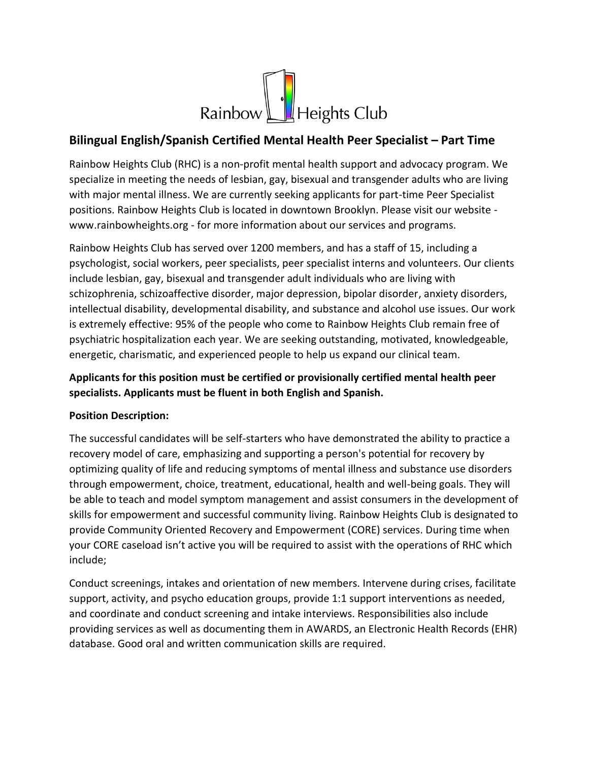

## **Bilingual English/Spanish Certified Mental Health Peer Specialist – Part Time**

Rainbow Heights Club (RHC) is a non-profit mental health support and advocacy program. We specialize in meeting the needs of lesbian, gay, bisexual and transgender adults who are living with major mental illness. We are currently seeking applicants for part-time Peer Specialist positions. Rainbow Heights Club is located in downtown Brooklyn. Please visit our website www.rainbowheights.org - for more information about our services and programs.

Rainbow Heights Club has served over 1200 members, and has a staff of 15, including a psychologist, social workers, peer specialists, peer specialist interns and volunteers. Our clients include lesbian, gay, bisexual and transgender adult individuals who are living with schizophrenia, schizoaffective disorder, major depression, bipolar disorder, anxiety disorders, intellectual disability, developmental disability, and substance and alcohol use issues. Our work is extremely effective: 95% of the people who come to Rainbow Heights Club remain free of psychiatric hospitalization each year. We are seeking outstanding, motivated, knowledgeable, energetic, charismatic, and experienced people to help us expand our clinical team.

## **Applicants for this position must be certified or provisionally certified mental health peer specialists. Applicants must be fluent in both English and Spanish.**

## **Position Description:**

The successful candidates will be self-starters who have demonstrated the ability to practice a recovery model of care, emphasizing and supporting a person's potential for recovery by optimizing quality of life and reducing symptoms of mental illness and substance use disorders through empowerment, choice, treatment, educational, health and well-being goals. They will be able to teach and model symptom management and assist consumers in the development of skills for empowerment and successful community living. Rainbow Heights Club is designated to provide Community Oriented Recovery and Empowerment (CORE) services. During time when your CORE caseload isn't active you will be required to assist with the operations of RHC which include;

Conduct screenings, intakes and orientation of new members. Intervene during crises, facilitate support, activity, and psycho education groups, provide 1:1 support interventions as needed, and coordinate and conduct screening and intake interviews. Responsibilities also include providing services as well as documenting them in AWARDS, an Electronic Health Records (EHR) database. Good oral and written communication skills are required.